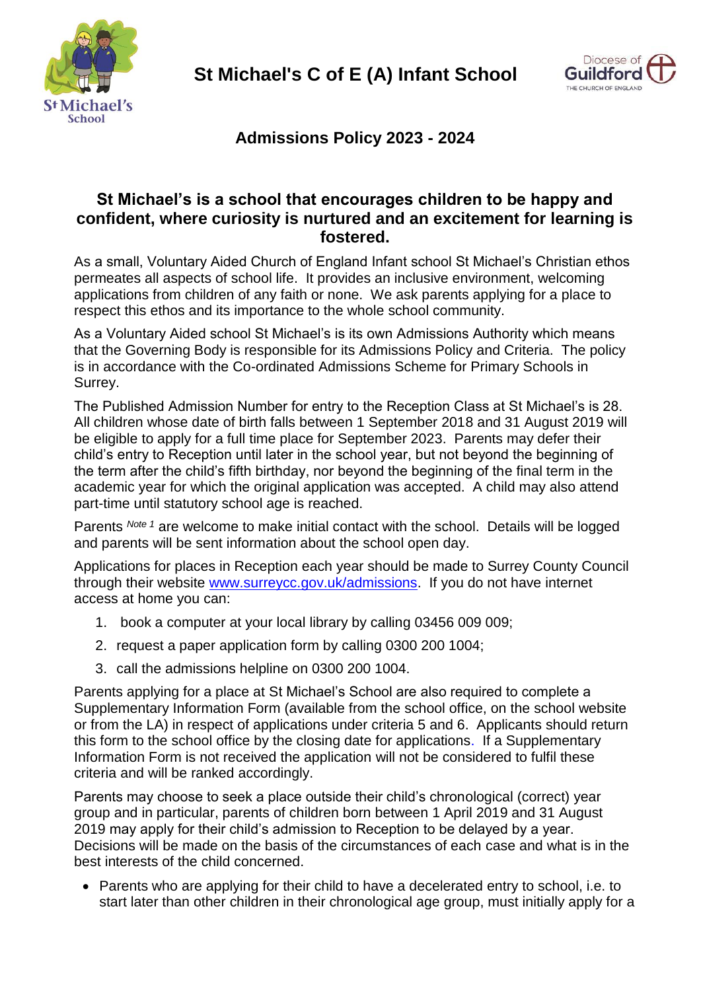

**St Michael's C of E (A) Infant School**



# **Admissions Policy 2023 - 2024**

# **St Michael's is a school that encourages children to be happy and confident, where curiosity is nurtured and an excitement for learning is fostered.**

As a small, Voluntary Aided Church of England Infant school St Michael's Christian ethos permeates all aspects of school life. It provides an inclusive environment, welcoming applications from children of any faith or none. We ask parents applying for a place to respect this ethos and its importance to the whole school community.

As a Voluntary Aided school St Michael's is its own Admissions Authority which means that the Governing Body is responsible for its Admissions Policy and Criteria. The policy is in accordance with the Co-ordinated Admissions Scheme for Primary Schools in Surrey.

The Published Admission Number for entry to the Reception Class at St Michael's is 28. All children whose date of birth falls between 1 September 2018 and 31 August 2019 will be eligible to apply for a full time place for September 2023. Parents may defer their child's entry to Reception until later in the school year, but not beyond the beginning of the term after the child's fifth birthday, nor beyond the beginning of the final term in the academic year for which the original application was accepted. A child may also attend part-time until statutory school age is reached.

Parents *Note 1* are welcome to make initial contact with the school. Details will be logged and parents will be sent information about the school open day.

Applications for places in Reception each year should be made to Surrey County Council through their website [www.surreycc.gov.uk/admissions.](http://www.surreycc.gov.uk/admissions) If you do not have internet access at home you can:

- 1. book a computer at your local library by calling 03456 009 009;
- 2. request a paper application form by calling 0300 200 1004;
- 3. call the admissions helpline on 0300 200 1004.

Parents applying for a place at St Michael's School are also required to complete a Supplementary Information Form (available from the school office, on the school website or from the LA) in respect of applications under criteria 5 and 6. Applicants should return this form to the school office by the closing date for applications. If a Supplementary Information Form is not received the application will not be considered to fulfil these criteria and will be ranked accordingly.

Parents may choose to seek a place outside their child's chronological (correct) year group and in particular, parents of children born between 1 April 2019 and 31 August 2019 may apply for their child's admission to Reception to be delayed by a year. Decisions will be made on the basis of the circumstances of each case and what is in the best interests of the child concerned.

• Parents who are applying for their child to have a decelerated entry to school, i.e. to start later than other children in their chronological age group, must initially apply for a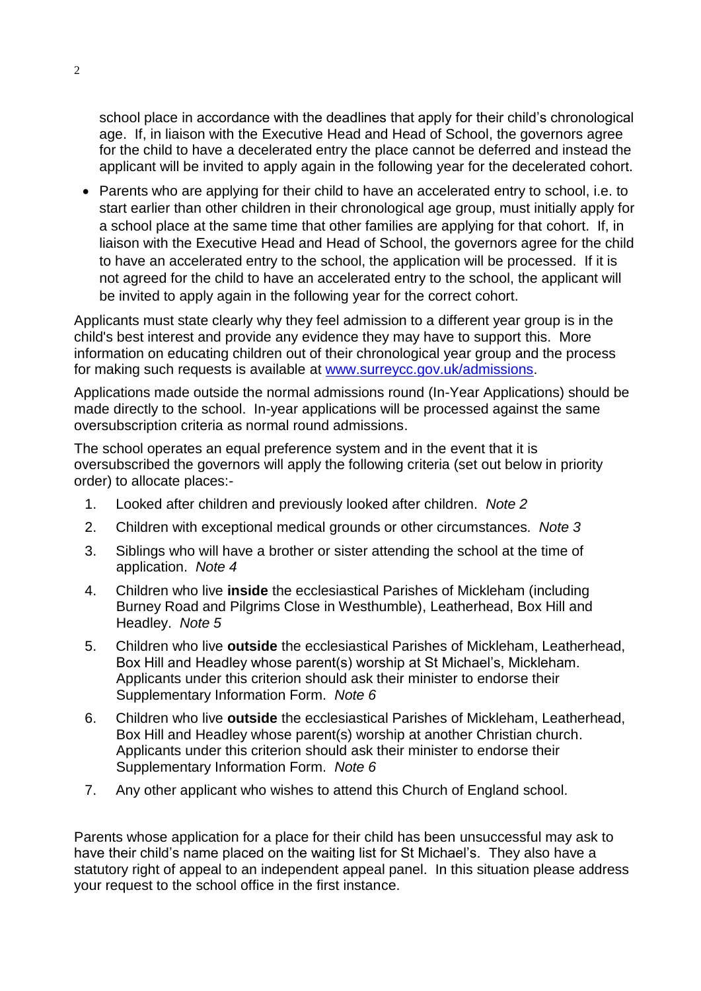school place in accordance with the deadlines that apply for their child's chronological age. If, in liaison with the Executive Head and Head of School, the governors agree for the child to have a decelerated entry the place cannot be deferred and instead the applicant will be invited to apply again in the following year for the decelerated cohort.

• Parents who are applying for their child to have an accelerated entry to school, i.e. to start earlier than other children in their chronological age group, must initially apply for a school place at the same time that other families are applying for that cohort. If, in liaison with the Executive Head and Head of School, the governors agree for the child to have an accelerated entry to the school, the application will be processed. If it is not agreed for the child to have an accelerated entry to the school, the applicant will be invited to apply again in the following year for the correct cohort.

Applicants must state clearly why they feel admission to a different year group is in the child's best interest and provide any evidence they may have to support this. More information on educating children out of their chronological year group and the process for making such requests is available at [www.surreycc.gov.uk/admissions.](http://www.surreycc.gov.uk/admissions)

Applications made outside the normal admissions round (In-Year Applications) should be made directly to the school. In-year applications will be processed against the same oversubscription criteria as normal round admissions.

The school operates an equal preference system and in the event that it is oversubscribed the governors will apply the following criteria (set out below in priority order) to allocate places:-

- 1. Looked after children and previously looked after children. *Note 2*
- 2. Children with exceptional medical grounds or other circumstances. *Note 3*
- 3. Siblings who will have a brother or sister attending the school at the time of application. *Note 4*
- 4. Children who live **inside** the ecclesiastical Parishes of Mickleham (including Burney Road and Pilgrims Close in Westhumble), Leatherhead, Box Hill and Headley. *Note 5*
- 5. Children who live **outside** the ecclesiastical Parishes of Mickleham, Leatherhead, Box Hill and Headley whose parent(s) worship at St Michael's, Mickleham. Applicants under this criterion should ask their minister to endorse their Supplementary Information Form. *Note 6*
- 6. Children who live **outside** the ecclesiastical Parishes of Mickleham, Leatherhead, Box Hill and Headley whose parent(s) worship at another Christian church. Applicants under this criterion should ask their minister to endorse their Supplementary Information Form. *Note 6*
- 7. Any other applicant who wishes to attend this Church of England school.

Parents whose application for a place for their child has been unsuccessful may ask to have their child's name placed on the waiting list for St Michael's. They also have a statutory right of appeal to an independent appeal panel. In this situation please address your request to the school office in the first instance.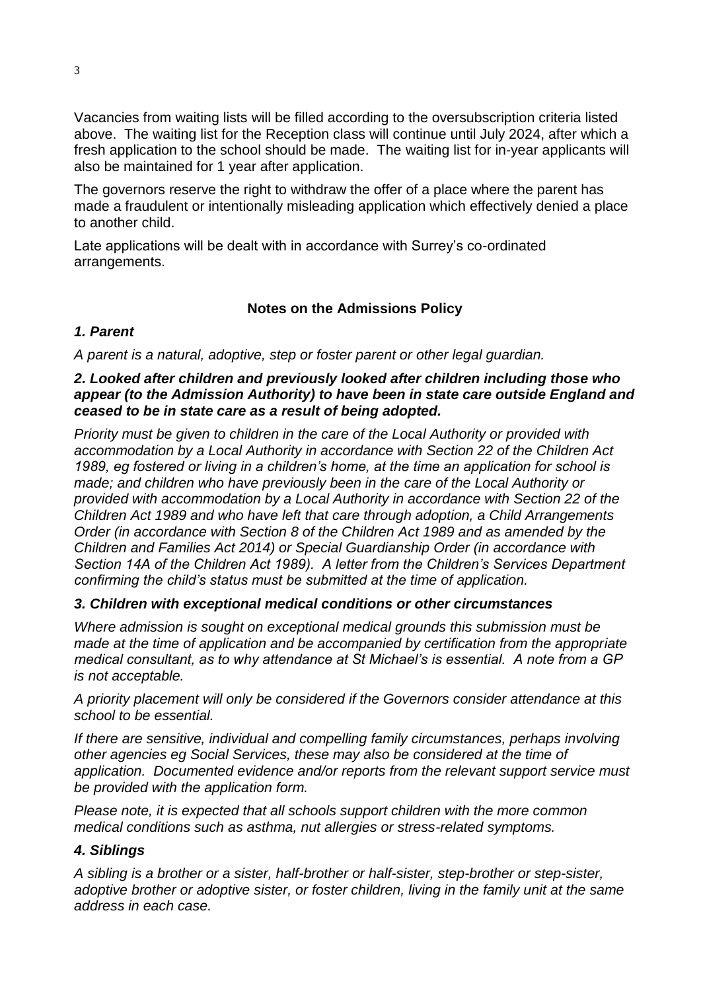Vacancies from waiting lists will be filled according to the oversubscription criteria listed above. The waiting list for the Reception class will continue until July 2024, after which a fresh application to the school should be made. The waiting list for in-year applicants will also be maintained for 1 year after application.

The governors reserve the right to withdraw the offer of a place where the parent has made a fraudulent or intentionally misleading application which effectively denied a place to another child.

Late applications will be dealt with in accordance with Surrey's co-ordinated arrangements.

### **Notes on the Admissions Policy**

#### *1. Parent*

*A parent is a natural, adoptive, step or foster parent or other legal guardian.*

#### *2. Looked after children and previously looked after children including those who appear (to the Admission Authority) to have been in state care outside England and ceased to be in state care as a result of being adopted.*

*Priority must be given to children in the care of the Local Authority or provided with accommodation by a Local Authority in accordance with Section 22 of the Children Act 1989, eg fostered or living in a children's home, at the time an application for school is made; and children who have previously been in the care of the Local Authority or provided with accommodation by a Local Authority in accordance with Section 22 of the Children Act 1989 and who have left that care through adoption, a Child Arrangements Order (in accordance with Section 8 of the Children Act 1989 and as amended by the Children and Families Act 2014) or Special Guardianship Order (in accordance with Section 14A of the Children Act 1989). A letter from the Children's Services Department confirming the child's status must be submitted at the time of application.*

#### *3. Children with exceptional medical conditions or other circumstances*

*Where admission is sought on exceptional medical grounds this submission must be made at the time of application and be accompanied by certification from the appropriate medical consultant, as to why attendance at St Michael's is essential. A note from a GP is not acceptable.*

*A priority placement will only be considered if the Governors consider attendance at this school to be essential.*

*If there are sensitive, individual and compelling family circumstances, perhaps involving other agencies eg Social Services, these may also be considered at the time of application. Documented evidence and/or reports from the relevant support service must be provided with the application form.*

*Please note, it is expected that all schools support children with the more common medical conditions such as asthma, nut allergies or stress-related symptoms.*

#### *4. Siblings*

*A sibling is a brother or a sister, half-brother or half-sister, step-brother or step-sister, adoptive brother or adoptive sister, or foster children, living in the family unit at the same address in each case.*